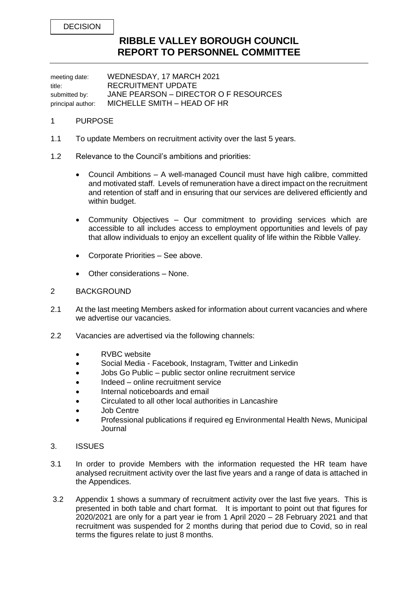DECISION

## **RIBBLE VALLEY BOROUGH COUNCIL REPORT TO PERSONNEL COMMITTEE**

meeting date: WEDNESDAY, 17 MARCH 2021 title: RECRUITMENT UPDATE submitted by: JANE PEARSON – DIRECTOR O F RESOURCES principal author: MICHELLE SMITH – HEAD OF HR

## 1 PURPOSE

- 1.1 To update Members on recruitment activity over the last 5 years.
- 1.2 Relevance to the Council's ambitions and priorities:
	- Council Ambitions A well-managed Council must have high calibre, committed and motivated staff. Levels of remuneration have a direct impact on the recruitment and retention of staff and in ensuring that our services are delivered efficiently and within budget.
	- Community Objectives Our commitment to providing services which are accessible to all includes access to employment opportunities and levels of pay that allow individuals to enjoy an excellent quality of life within the Ribble Valley.
	- Corporate Priorities See above.
	- Other considerations None.

## 2 BACKGROUND

- 2.1 At the last meeting Members asked for information about current vacancies and where we advertise our vacancies.
- 2.2 Vacancies are advertised via the following channels:
	- RVBC website
	- Social Media Facebook, Instagram, Twitter and Linkedin
	- Jobs Go Public public sector online recruitment service
	- Indeed online recruitment service
	- Internal noticeboards and email
	- Circulated to all other local authorities in Lancashire
	- Job Centre
	- Professional publications if required eg Environmental Health News, Municipal Journal
- 3. ISSUES
- 3.1 In order to provide Members with the information requested the HR team have analysed recruitment activity over the last five years and a range of data is attached in the Appendices.
- 3.2 Appendix 1 shows a summary of recruitment activity over the last five years. This is presented in both table and chart format. It is important to point out that figures for 2020/2021 are only for a part year ie from 1 April 2020 – 28 February 2021 and that recruitment was suspended for 2 months during that period due to Covid, so in real terms the figures relate to just 8 months.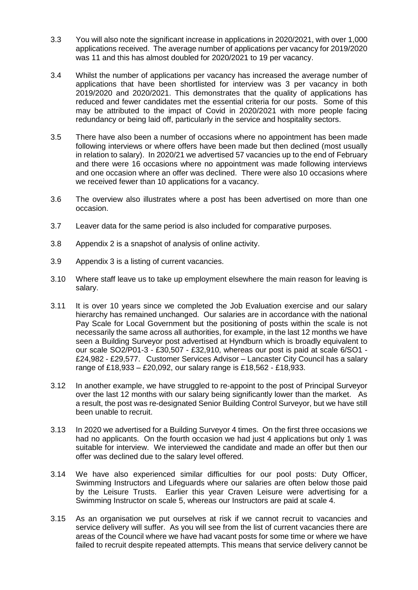- 3.3 You will also note the significant increase in applications in 2020/2021, with over 1,000 applications received. The average number of applications per vacancy for 2019/2020 was 11 and this has almost doubled for 2020/2021 to 19 per vacancy.
- 3.4 Whilst the number of applications per vacancy has increased the average number of applications that have been shortlisted for interview was 3 per vacancy in both 2019/2020 and 2020/2021. This demonstrates that the quality of applications has reduced and fewer candidates met the essential criteria for our posts. Some of this may be attributed to the impact of Covid in 2020/2021 with more people facing redundancy or being laid off, particularly in the service and hospitality sectors.
- 3.5 There have also been a number of occasions where no appointment has been made following interviews or where offers have been made but then declined (most usually in relation to salary). In 2020/21 we advertised 57 vacancies up to the end of February and there were 16 occasions where no appointment was made following interviews and one occasion where an offer was declined. There were also 10 occasions where we received fewer than 10 applications for a vacancy.
- 3.6 The overview also illustrates where a post has been advertised on more than one occasion.
- 3.7 Leaver data for the same period is also included for comparative purposes.
- 3.8 Appendix 2 is a snapshot of analysis of online activity.
- 3.9 Appendix 3 is a listing of current vacancies.
- 3.10 Where staff leave us to take up employment elsewhere the main reason for leaving is salary.
- 3.11 It is over 10 years since we completed the Job Evaluation exercise and our salary hierarchy has remained unchanged. Our salaries are in accordance with the national Pay Scale for Local Government but the positioning of posts within the scale is not necessarily the same across all authorities, for example, in the last 12 months we have seen a Building Surveyor post advertised at Hyndburn which is broadly equivalent to our scale SO2/P01-3 - £30,507 - £32,910, whereas our post is paid at scale 6/SO1 - £24,982 - £29,577. Customer Services Advisor – Lancaster City Council has a salary range of £18,933 – £20,092, our salary range is £18,562 - £18,933.
- 3.12 In another example, we have struggled to re-appoint to the post of Principal Surveyor over the last 12 months with our salary being significantly lower than the market. As a result, the post was re-designated Senior Building Control Surveyor, but we have still been unable to recruit.
- 3.13 In 2020 we advertised for a Building Surveyor 4 times. On the first three occasions we had no applicants. On the fourth occasion we had just 4 applications but only 1 was suitable for interview. We interviewed the candidate and made an offer but then our offer was declined due to the salary level offered.
- 3.14 We have also experienced similar difficulties for our pool posts: Duty Officer, Swimming Instructors and Lifeguards where our salaries are often below those paid by the Leisure Trusts. Earlier this year Craven Leisure were advertising for a Swimming Instructor on scale 5, whereas our Instructors are paid at scale 4.
- 3.15 As an organisation we put ourselves at risk if we cannot recruit to vacancies and service delivery will suffer. As you will see from the list of current vacancies there are areas of the Council where we have had vacant posts for some time or where we have failed to recruit despite repeated attempts. This means that service delivery cannot be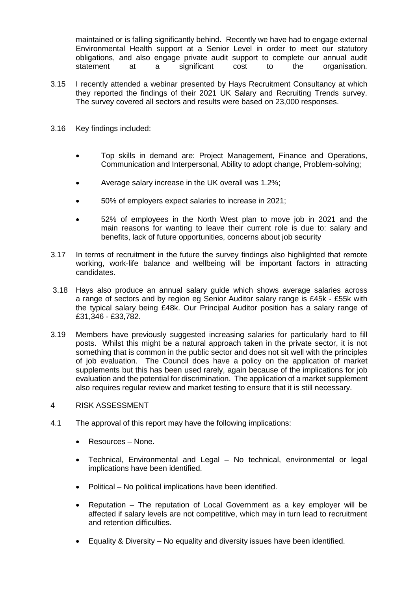maintained or is falling significantly behind. Recently we have had to engage external Environmental Health support at a Senior Level in order to meet our statutory obligations, and also engage private audit support to complete our annual audit statement at a significant cost to the organisation.

- 3.15 I recently attended a webinar presented by Hays Recruitment Consultancy at which they reported the findings of their 2021 UK Salary and Recruiting Trends survey. The survey covered all sectors and results were based on 23,000 responses.
- 3.16 Key findings included:
	- Top skills in demand are: Project Management, Finance and Operations, Communication and Interpersonal, Ability to adopt change, Problem-solving;
	- Average salary increase in the UK overall was 1.2%;
	- 50% of employers expect salaries to increase in 2021;
	- 52% of employees in the North West plan to move job in 2021 and the main reasons for wanting to leave their current role is due to: salary and benefits, lack of future opportunities, concerns about job security
- 3.17 In terms of recruitment in the future the survey findings also highlighted that remote working, work-life balance and wellbeing will be important factors in attracting candidates.
- 3.18 Hays also produce an annual salary guide which shows average salaries across a range of sectors and by region eg Senior Auditor salary range is £45k - £55k with the typical salary being £48k. Our Principal Auditor position has a salary range of £31,346 - £33,782.
- 3.19 Members have previously suggested increasing salaries for particularly hard to fill posts. Whilst this might be a natural approach taken in the private sector, it is not something that is common in the public sector and does not sit well with the principles of job evaluation. The Council does have a policy on the application of market supplements but this has been used rarely, again because of the implications for job evaluation and the potential for discrimination. The application of a market supplement also requires regular review and market testing to ensure that it is still necessary.
- 4 RISK ASSESSMENT
- 4.1 The approval of this report may have the following implications:
	- Resources None.
	- Technical, Environmental and Legal No technical, environmental or legal implications have been identified.
	- Political No political implications have been identified.
	- Reputation The reputation of Local Government as a key employer will be affected if salary levels are not competitive, which may in turn lead to recruitment and retention difficulties.
	- Equality & Diversity No equality and diversity issues have been identified.